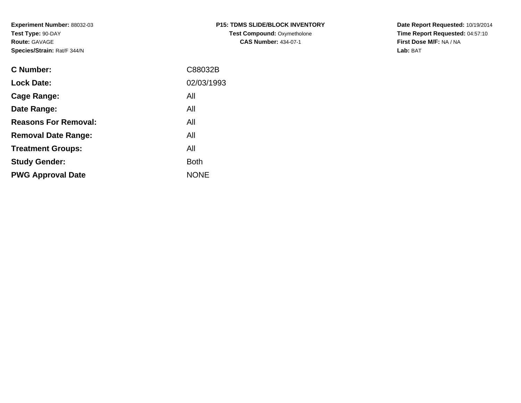**Experiment Number:** 88032-03**Test Type:** 90-DAY**Route:** GAVAGE**Species/Strain:** Rat/F 344/N

| <b>P15: TDMS SLIDE/BLOCK INVENTORY</b> |
|----------------------------------------|
| <b>Test Compound: Oxymetholone</b>     |
| <b>CAS Number: 434-07-1</b>            |

**Date Report Requested:** 10/19/2014 **Time Report Requested:** 04:57:10**First Dose M/F:** NA / NA**Lab:** BAT

| C Number:                   | C88032B     |
|-----------------------------|-------------|
| <b>Lock Date:</b>           | 02/03/1993  |
| Cage Range:                 | All         |
| Date Range:                 | All         |
| <b>Reasons For Removal:</b> | All         |
| <b>Removal Date Range:</b>  | All         |
| <b>Treatment Groups:</b>    | All         |
| <b>Study Gender:</b>        | <b>Both</b> |
| <b>PWG Approval Date</b>    | <b>NONE</b> |
|                             |             |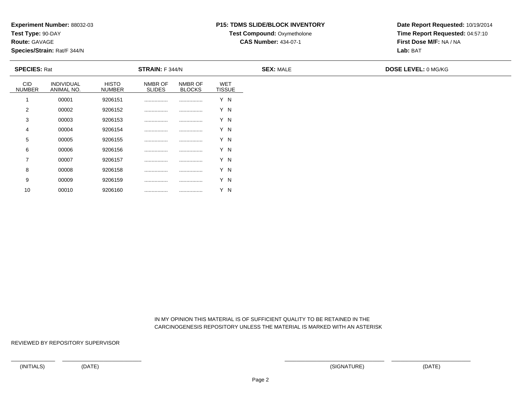**Test Type:** 90-DAY

**Route:** GAVAGE

10

**Species/Strain:** Rat/F 344/N

## **P15: TDMS SLIDE/BLOCK INVENTORY**

**Test Compound: Oxymetholone** 

**CAS Number:** 434-07-1

**Date Report Requested:** 10/19/2014**Time Report Requested:** 04:57:10**First Dose M/F:** NA / NA**Lab:** BAT

| <b>SPECIES: Rat</b>         |                          |                               | <b>STRAIN:</b> F 344/N   |                          |                      | <b>SEX: MALE</b> | <b>DOSE LEVEL: 0 MG/KG</b> |  |  |
|-----------------------------|--------------------------|-------------------------------|--------------------------|--------------------------|----------------------|------------------|----------------------------|--|--|
| <b>CID</b><br><b>NUMBER</b> | INDIVIDUAL<br>ANIMAL NO. | <b>HISTO</b><br><b>NUMBER</b> | NMBR OF<br><b>SLIDES</b> | NMBR OF<br><b>BLOCKS</b> | WET<br><b>TISSUE</b> |                  |                            |  |  |
|                             | 00001                    | 9206151                       |                          |                          | Y N                  |                  |                            |  |  |
| 2                           | 00002                    | 9206152                       |                          |                          | Y N                  |                  |                            |  |  |
| 3                           | 00003                    | 9206153                       |                          |                          | Y N                  |                  |                            |  |  |
| 4                           | 00004                    | 9206154                       |                          |                          | Y N                  |                  |                            |  |  |
| $5\overline{)}$             | 00005                    | 9206155                       |                          |                          | Y N                  |                  |                            |  |  |
| 6                           | 00006                    | 9206156                       |                          |                          | Y N                  |                  |                            |  |  |
| $\overline{ }$              | 00007                    | 9206157                       |                          |                          | Y N                  |                  |                            |  |  |
| 8                           | 00008                    | 9206158                       |                          |                          | Y N                  |                  |                            |  |  |
| 9                           | 00009                    | 9206159                       |                          |                          | Y N                  |                  |                            |  |  |

 IN MY OPINION THIS MATERIAL IS OF SUFFICIENT QUALITY TO BE RETAINED IN THECARCINOGENESIS REPOSITORY UNLESS THE MATERIAL IS MARKED WITH AN ASTERISK

REVIEWED BY REPOSITORY SUPERVISOR

<sup>00010</sup> <sup>9206160</sup> ................ ................ Y N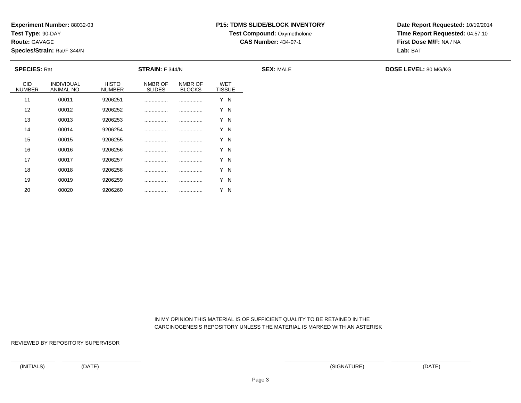**Test Type:** 90-DAY

**Route:** GAVAGE

20

**Species/Strain:** Rat/F 344/N

## **P15: TDMS SLIDE/BLOCK INVENTORY**

**Test Compound: Oxymetholone** 

**CAS Number:** 434-07-1

**Date Report Requested:** 10/19/2014**Time Report Requested:** 04:57:10**First Dose M/F:** NA / NA**Lab:** BAT

| <b>SPECIES: Rat</b>         |                          |                               | STRAIN: F 344/N          |                          |                             | <b>SEX: MALE</b> | <b>DOSE LEVEL: 80 MG/KG</b> |  |
|-----------------------------|--------------------------|-------------------------------|--------------------------|--------------------------|-----------------------------|------------------|-----------------------------|--|
| <b>CID</b><br><b>NUMBER</b> | INDIVIDUAL<br>ANIMAL NO. | <b>HISTO</b><br><b>NUMBER</b> | NMBR OF<br><b>SLIDES</b> | NMBR OF<br><b>BLOCKS</b> | <b>WET</b><br><b>TISSUE</b> |                  |                             |  |
| 11                          | 00011                    | 9206251                       |                          |                          | Y N                         |                  |                             |  |
| 12                          | 00012                    | 9206252                       |                          |                          | Y N                         |                  |                             |  |
| 13                          | 00013                    | 9206253                       |                          |                          | Y N                         |                  |                             |  |
| 14                          | 00014                    | 9206254                       |                          |                          | Y N                         |                  |                             |  |
| 15                          | 00015                    | 9206255                       |                          |                          | Y N                         |                  |                             |  |
| 16                          | 00016                    | 9206256                       |                          |                          | Y N                         |                  |                             |  |
| 17                          | 00017                    | 9206257                       | .                        |                          | Y N                         |                  |                             |  |
| 18                          | 00018                    | 9206258                       | .                        |                          | Y N                         |                  |                             |  |
| 19                          | 00019                    | 9206259                       |                          |                          | Y N                         |                  |                             |  |

 IN MY OPINION THIS MATERIAL IS OF SUFFICIENT QUALITY TO BE RETAINED IN THECARCINOGENESIS REPOSITORY UNLESS THE MATERIAL IS MARKED WITH AN ASTERISK

REVIEWED BY REPOSITORY SUPERVISOR

<sup>00020</sup> <sup>9206260</sup> ................ ................ Y N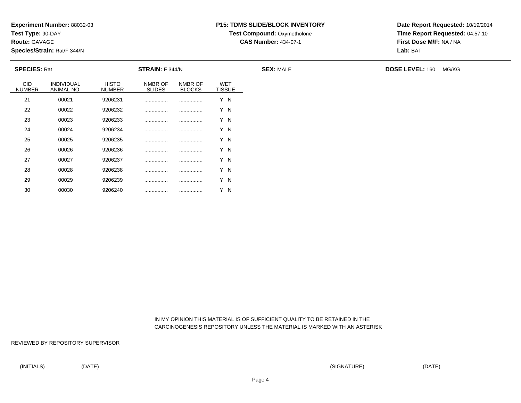**Test Type:** 90-DAY

**Route:** GAVAGE

30

**Species/Strain:** Rat/F 344/N

## **P15: TDMS SLIDE/BLOCK INVENTORY**

**Test Compound:** Oxymetholone

**CAS Number:** 434-07-1

**Date Report Requested:** 10/19/2014**Time Report Requested:** 04:57:10**First Dose M/F:** NA / NA**Lab:** BAT

| <b>SPECIES: Rat</b>  |                          |                               | <b>STRAIN:</b> F 344/N   |                          |                             | <b>SEX: MALE</b> | <b>DOSE LEVEL: 160</b> | MG/KG |
|----------------------|--------------------------|-------------------------------|--------------------------|--------------------------|-----------------------------|------------------|------------------------|-------|
| CID<br><b>NUMBER</b> | INDIVIDUAL<br>ANIMAL NO. | <b>HISTO</b><br><b>NUMBER</b> | NMBR OF<br><b>SLIDES</b> | NMBR OF<br><b>BLOCKS</b> | <b>WET</b><br><b>TISSUE</b> |                  |                        |       |
| 21                   | 00021                    | 9206231                       |                          |                          | Y N                         |                  |                        |       |
| 22                   | 00022                    | 9206232                       |                          |                          | Y N                         |                  |                        |       |
| 23                   | 00023                    | 9206233                       |                          |                          | Y N                         |                  |                        |       |
| 24                   | 00024                    | 9206234                       |                          |                          | Y N                         |                  |                        |       |
| 25                   | 00025                    | 9206235                       |                          |                          | Y N                         |                  |                        |       |
| 26                   | 00026                    | 9206236                       |                          |                          | Y N                         |                  |                        |       |
| 27                   | 00027                    | 9206237                       |                          |                          | Y N                         |                  |                        |       |
| 28                   | 00028                    | 9206238                       |                          |                          | Y N                         |                  |                        |       |
| 29                   | 00029                    | 9206239                       | .                        |                          | Y N                         |                  |                        |       |

 IN MY OPINION THIS MATERIAL IS OF SUFFICIENT QUALITY TO BE RETAINED IN THECARCINOGENESIS REPOSITORY UNLESS THE MATERIAL IS MARKED WITH AN ASTERISK

REVIEWED BY REPOSITORY SUPERVISOR

<sup>00030</sup> <sup>9206240</sup> ................ ................ Y N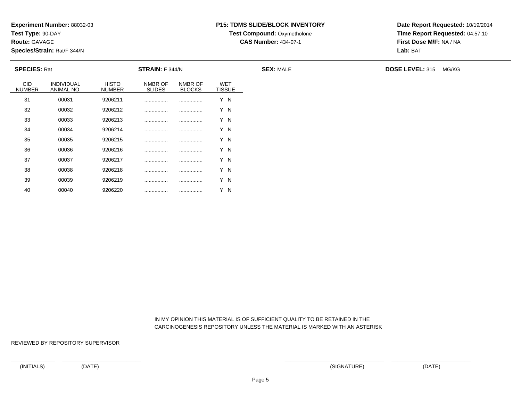**Test Type:** 90-DAY

**Route:** GAVAGE

40

**Species/Strain:** Rat/F 344/N

## **P15: TDMS SLIDE/BLOCK INVENTORY**

**Test Compound:** Oxymetholone

**CAS Number:** 434-07-1

**Date Report Requested:** 10/19/2014**Time Report Requested:** 04:57:10**First Dose M/F:** NA / NA**Lab:** BAT

| <b>SPECIES: Rat</b>  |                          |                               | <b>STRAIN: F 344/N</b>   |                          |                             | <b>SEX: MALE</b> | <b>DOSE LEVEL: 315</b> | MG/KG |
|----------------------|--------------------------|-------------------------------|--------------------------|--------------------------|-----------------------------|------------------|------------------------|-------|
| CID<br><b>NUMBER</b> | INDIVIDUAL<br>ANIMAL NO. | <b>HISTO</b><br><b>NUMBER</b> | NMBR OF<br><b>SLIDES</b> | NMBR OF<br><b>BLOCKS</b> | <b>WET</b><br><b>TISSUE</b> |                  |                        |       |
| 31                   | 00031                    | 9206211                       |                          |                          | Y N                         |                  |                        |       |
| 32                   | 00032                    | 9206212                       |                          |                          | Y N                         |                  |                        |       |
| 33                   | 00033                    | 9206213                       |                          |                          | Y N                         |                  |                        |       |
| 34                   | 00034                    | 9206214                       |                          |                          | Y N                         |                  |                        |       |
| 35                   | 00035                    | 9206215                       |                          |                          | Y N                         |                  |                        |       |
| 36                   | 00036                    | 9206216                       |                          |                          | Y N                         |                  |                        |       |
| 37                   | 00037                    | 9206217                       |                          |                          | Y N                         |                  |                        |       |
| 38                   | 00038                    | 9206218                       |                          |                          | Y N                         |                  |                        |       |
| 39                   | 00039                    | 9206219                       |                          |                          | Y N                         |                  |                        |       |

 IN MY OPINION THIS MATERIAL IS OF SUFFICIENT QUALITY TO BE RETAINED IN THECARCINOGENESIS REPOSITORY UNLESS THE MATERIAL IS MARKED WITH AN ASTERISK

REVIEWED BY REPOSITORY SUPERVISOR

<sup>00040</sup> <sup>9206220</sup> ................ ................ Y N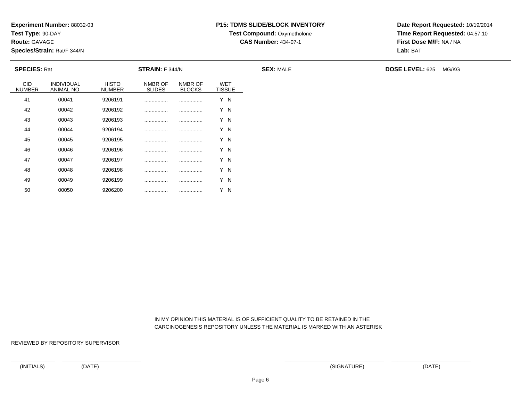**Test Type:** 90-DAY

**Route:** GAVAGE

50

**Species/Strain:** Rat/F 344/N

### **P15: TDMS SLIDE/BLOCK INVENTORY**

**Test Compound: Oxymetholone** 

**CAS Number:** 434-07-1

**Date Report Requested:** 10/19/2014**Time Report Requested:** 04:57:10**First Dose M/F:** NA / NA**Lab:** BAT

| <b>SPECIES: Rat</b>         |                          |                               | STRAIN: F 344/N          |                          |                             | <b>SEX: MALE</b> | <b>DOSE LEVEL: 625</b> | MG/KG |
|-----------------------------|--------------------------|-------------------------------|--------------------------|--------------------------|-----------------------------|------------------|------------------------|-------|
| <b>CID</b><br><b>NUMBER</b> | INDIVIDUAL<br>ANIMAL NO. | <b>HISTO</b><br><b>NUMBER</b> | NMBR OF<br><b>SLIDES</b> | NMBR OF<br><b>BLOCKS</b> | <b>WET</b><br><b>TISSUE</b> |                  |                        |       |
| 41                          | 00041                    | 9206191                       |                          |                          | Y N                         |                  |                        |       |
| 42                          | 00042                    | 9206192                       |                          |                          | Y N                         |                  |                        |       |
| 43                          | 00043                    | 9206193                       |                          |                          | Y N                         |                  |                        |       |
| 44                          | 00044                    | 9206194                       |                          |                          | Y N                         |                  |                        |       |
| 45                          | 00045                    | 9206195                       |                          |                          | Y N                         |                  |                        |       |
| 46                          | 00046                    | 9206196                       |                          |                          | Y N                         |                  |                        |       |
| 47                          | 00047                    | 9206197                       |                          |                          | Y N                         |                  |                        |       |
| 48                          | 00048                    | 9206198                       |                          |                          | Y N                         |                  |                        |       |
| 49                          | 00049                    | 9206199                       |                          |                          | Y N                         |                  |                        |       |

 IN MY OPINION THIS MATERIAL IS OF SUFFICIENT QUALITY TO BE RETAINED IN THECARCINOGENESIS REPOSITORY UNLESS THE MATERIAL IS MARKED WITH AN ASTERISK

REVIEWED BY REPOSITORY SUPERVISOR

<sup>00050</sup> <sup>9206200</sup> ................ ................ Y N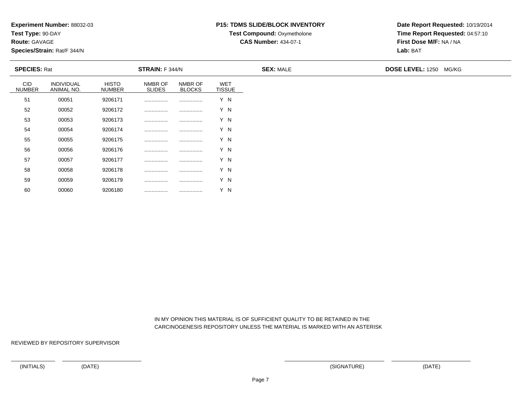**Test Type:** 90-DAY

**Route:** GAVAGE

60

**Species/Strain:** Rat/F 344/N

# **P15: TDMS SLIDE/BLOCK INVENTORY**

**Test Compound:** Oxymetholone

**CAS Number:** 434-07-1

**Date Report Requested:** 10/19/2014**Time Report Requested:** 04:57:10**First Dose M/F:** NA / NA**Lab:** BAT

| <b>SPECIES: Rat</b>         |                          |                               | <b>STRAIN:</b> F 344/N   |                          |                             | <b>SEX: MALE</b> | <b>DOSE LEVEL: 1250 MG/KG</b> |
|-----------------------------|--------------------------|-------------------------------|--------------------------|--------------------------|-----------------------------|------------------|-------------------------------|
| <b>CID</b><br><b>NUMBER</b> | INDIVIDUAL<br>ANIMAL NO. | <b>HISTO</b><br><b>NUMBER</b> | NMBR OF<br><b>SLIDES</b> | NMBR OF<br><b>BLOCKS</b> | <b>WET</b><br><b>TISSUE</b> |                  |                               |
| 51                          | 00051                    | 9206171                       |                          |                          | Y N                         |                  |                               |
| 52                          | 00052                    | 9206172                       |                          |                          | Y N                         |                  |                               |
| 53                          | 00053                    | 9206173                       |                          |                          | Y N                         |                  |                               |
| 54                          | 00054                    | 9206174                       |                          |                          | Y N                         |                  |                               |
| 55                          | 00055                    | 9206175                       |                          |                          | Y N                         |                  |                               |
| 56                          | 00056                    | 9206176                       |                          |                          | Y N                         |                  |                               |
| 57                          | 00057                    | 9206177                       |                          |                          | Y N                         |                  |                               |
| 58                          | 00058                    | 9206178                       |                          |                          | Y N                         |                  |                               |
| 59                          | 00059                    | 9206179                       | .                        | .                        | Y N                         |                  |                               |

 IN MY OPINION THIS MATERIAL IS OF SUFFICIENT QUALITY TO BE RETAINED IN THECARCINOGENESIS REPOSITORY UNLESS THE MATERIAL IS MARKED WITH AN ASTERISK

REVIEWED BY REPOSITORY SUPERVISOR

<sup>00060</sup> <sup>9206180</sup> ................ ................ Y N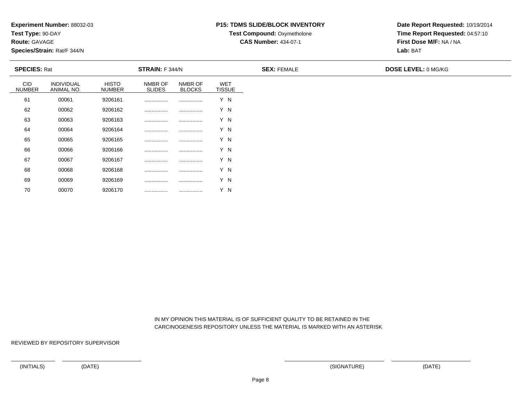**Test Type:** 90-DAY

**Route:** GAVAGE

70

**Species/Strain:** Rat/F 344/N

#### **P15: TDMS SLIDE/BLOCK INVENTORY**

**Test Compound: Oxymetholone** 

**CAS Number:** 434-07-1

**Date Report Requested:** 10/19/2014**Time Report Requested:** 04:57:10**First Dose M/F:** NA / NA**Lab:** BAT

| <b>SPECIES: Rat</b>         |                          |                               | <b>STRAIN:</b> F 344/N   |                          |                             | <b>SEX: FEMALE</b> | <b>DOSE LEVEL: 0 MG/KG</b> |
|-----------------------------|--------------------------|-------------------------------|--------------------------|--------------------------|-----------------------------|--------------------|----------------------------|
| <b>CID</b><br><b>NUMBER</b> | INDIVIDUAL<br>ANIMAL NO. | <b>HISTO</b><br><b>NUMBER</b> | NMBR OF<br><b>SLIDES</b> | NMBR OF<br><b>BLOCKS</b> | <b>WET</b><br><b>TISSUE</b> |                    |                            |
| 61                          | 00061                    | 9206161                       |                          |                          | Y N                         |                    |                            |
| 62                          | 00062                    | 9206162                       |                          |                          | Y N                         |                    |                            |
| 63                          | 00063                    | 9206163                       |                          |                          | Y N                         |                    |                            |
| 64                          | 00064                    | 9206164                       |                          |                          | Y N                         |                    |                            |
| 65                          | 00065                    | 9206165                       |                          |                          | Y N                         |                    |                            |
| 66                          | 00066                    | 9206166                       |                          |                          | Y N                         |                    |                            |
| 67                          | 00067                    | 9206167                       |                          |                          | Y N                         |                    |                            |
| 68                          | 00068                    | 9206168                       |                          |                          | Y N                         |                    |                            |
| 69                          | 00069                    | 9206169                       |                          |                          | Y N                         |                    |                            |

 IN MY OPINION THIS MATERIAL IS OF SUFFICIENT QUALITY TO BE RETAINED IN THECARCINOGENESIS REPOSITORY UNLESS THE MATERIAL IS MARKED WITH AN ASTERISK

REVIEWED BY REPOSITORY SUPERVISOR

<sup>00070</sup> <sup>9206170</sup> ................ ................ Y N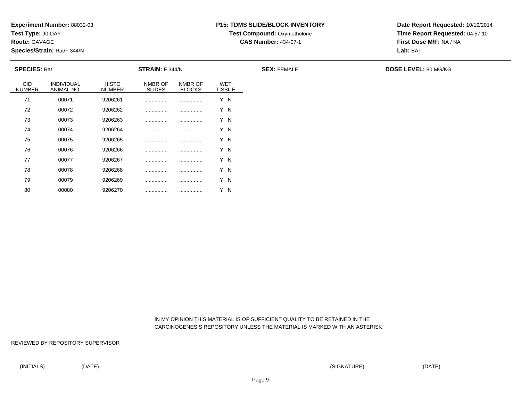**Test Type:** 90-DAY

**Route:** GAVAGE

80

**Species/Strain:** Rat/F 344/N

#### **P15: TDMS SLIDE/BLOCK INVENTORY**

**Test Compound: Oxymetholone** 

**CAS Number:** 434-07-1

**Date Report Requested:** 10/19/2014**Time Report Requested:** 04:57:10**First Dose M/F:** NA / NA**Lab:** BAT

| <b>SPECIES: Rat</b>  |                          |                               | <b>STRAIN:</b> F 344/N   |                          |                             | <b>SEX: FEMALE</b> | <b>DOSE LEVEL: 80 MG/KG</b> |
|----------------------|--------------------------|-------------------------------|--------------------------|--------------------------|-----------------------------|--------------------|-----------------------------|
| CID<br><b>NUMBER</b> | INDIVIDUAL<br>ANIMAL NO. | <b>HISTO</b><br><b>NUMBER</b> | NMBR OF<br><b>SLIDES</b> | NMBR OF<br><b>BLOCKS</b> | <b>WET</b><br><b>TISSUE</b> |                    |                             |
| 71                   | 00071                    | 9206261                       |                          |                          | Y N                         |                    |                             |
| 72                   | 00072                    | 9206262                       |                          |                          | Y N                         |                    |                             |
| 73                   | 00073                    | 9206263                       |                          |                          | Y N                         |                    |                             |
| 74                   | 00074                    | 9206264                       |                          |                          | Y N                         |                    |                             |
| 75                   | 00075                    | 9206265                       |                          |                          | Y N                         |                    |                             |
| 76                   | 00076                    | 9206266                       |                          |                          | Y N                         |                    |                             |
| 77                   | 00077                    | 9206267                       |                          |                          | Y N                         |                    |                             |
| 78                   | 00078                    | 9206268                       |                          |                          | Y N                         |                    |                             |
| 79                   | 00079                    | 9206269                       |                          |                          | Y N                         |                    |                             |

 IN MY OPINION THIS MATERIAL IS OF SUFFICIENT QUALITY TO BE RETAINED IN THECARCINOGENESIS REPOSITORY UNLESS THE MATERIAL IS MARKED WITH AN ASTERISK

REVIEWED BY REPOSITORY SUPERVISOR

<sup>00080</sup> <sup>9206270</sup> ................ ................ Y N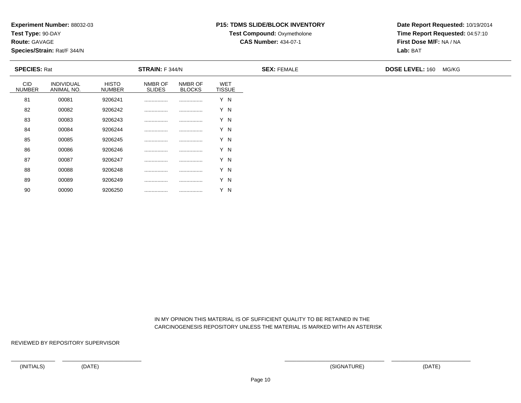**Test Type:** 90-DAY

**Route:** GAVAGE

90

**Species/Strain:** Rat/F 344/N

#### **P15: TDMS SLIDE/BLOCK INVENTORY**

**Test Compound:** Oxymetholone

**CAS Number:** 434-07-1

**Date Report Requested:** 10/19/2014**Time Report Requested:** 04:57:10**First Dose M/F:** NA / NA**Lab:** BAT

| <b>SPECIES: Rat</b>         |                          | <b>STRAIN: F 344/N</b>        |                          |                          | <b>SEX: FEMALE</b>          | <b>DOSE LEVEL: 160</b> | MG/KG |  |
|-----------------------------|--------------------------|-------------------------------|--------------------------|--------------------------|-----------------------------|------------------------|-------|--|
| <b>CID</b><br><b>NUMBER</b> | INDIVIDUAL<br>ANIMAL NO. | <b>HISTO</b><br><b>NUMBER</b> | NMBR OF<br><b>SLIDES</b> | NMBR OF<br><b>BLOCKS</b> | <b>WET</b><br><b>TISSUE</b> |                        |       |  |
| 81                          | 00081                    | 9206241                       |                          |                          | Y N                         |                        |       |  |
| 82                          | 00082                    | 9206242                       |                          |                          | Y N                         |                        |       |  |
| 83                          | 00083                    | 9206243                       |                          |                          | Y N                         |                        |       |  |
| 84                          | 00084                    | 9206244                       |                          |                          | Y N                         |                        |       |  |
| 85                          | 00085                    | 9206245                       |                          |                          | Y N                         |                        |       |  |
| 86                          | 00086                    | 9206246                       |                          |                          | Y N                         |                        |       |  |
| 87                          | 00087                    | 9206247                       |                          |                          | Y N                         |                        |       |  |
| 88                          | 00088                    | 9206248                       |                          |                          | Y N                         |                        |       |  |
| 89                          | 00089                    | 9206249                       |                          |                          | Y N                         |                        |       |  |

 IN MY OPINION THIS MATERIAL IS OF SUFFICIENT QUALITY TO BE RETAINED IN THECARCINOGENESIS REPOSITORY UNLESS THE MATERIAL IS MARKED WITH AN ASTERISK

REVIEWED BY REPOSITORY SUPERVISOR

<sup>00090</sup> <sup>9206250</sup> ................ ................ Y N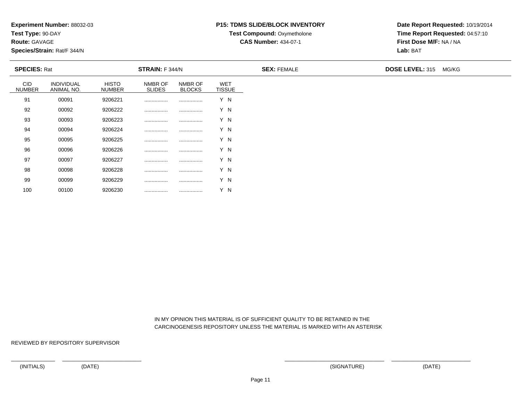**Test Type:** 90-DAY

**Route:** GAVAGE

100

**Species/Strain:** Rat/F 344/N

#### **P15: TDMS SLIDE/BLOCK INVENTORY**

**Test Compound:** Oxymetholone

**CAS Number:** 434-07-1

**Date Report Requested:** 10/19/2014**Time Report Requested:** 04:57:10**First Dose M/F:** NA / NA**Lab:** BAT

| <b>SPECIES: Rat</b>         |                          |                               | <b>STRAIN:</b> $F$ 344/N |                          |                             | <b>SEX: FEMALE</b> | <b>DOSE LEVEL: 315 MG/KG</b> |  |
|-----------------------------|--------------------------|-------------------------------|--------------------------|--------------------------|-----------------------------|--------------------|------------------------------|--|
| <b>CID</b><br><b>NUMBER</b> | INDIVIDUAL<br>ANIMAL NO. | <b>HISTO</b><br><b>NUMBER</b> | NMBR OF<br><b>SLIDES</b> | NMBR OF<br><b>BLOCKS</b> | <b>WET</b><br><b>TISSUE</b> |                    |                              |  |
| 91                          | 00091                    | 9206221                       |                          |                          | Y N                         |                    |                              |  |
| 92                          | 00092                    | 9206222                       |                          |                          | Y N                         |                    |                              |  |
| 93                          | 00093                    | 9206223                       |                          |                          | Y N                         |                    |                              |  |
| 94                          | 00094                    | 9206224                       |                          |                          | Y N                         |                    |                              |  |
| 95                          | 00095                    | 9206225                       |                          |                          | Y N                         |                    |                              |  |
| 96                          | 00096                    | 9206226                       |                          |                          | Y N                         |                    |                              |  |
| 97                          | 00097                    | 9206227                       |                          |                          | Y N                         |                    |                              |  |
| 98                          | 00098                    | 9206228                       |                          |                          | Y N                         |                    |                              |  |
| 99                          | 00099                    | 9206229                       |                          |                          | Y N                         |                    |                              |  |

 IN MY OPINION THIS MATERIAL IS OF SUFFICIENT QUALITY TO BE RETAINED IN THECARCINOGENESIS REPOSITORY UNLESS THE MATERIAL IS MARKED WITH AN ASTERISK

REVIEWED BY REPOSITORY SUPERVISOR

<sup>00100</sup> <sup>9206230</sup> ................ ................ Y N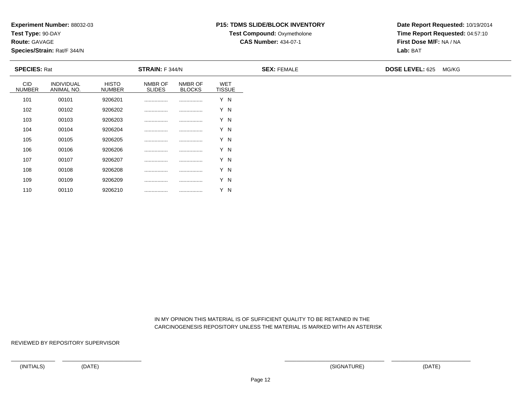**Test Type:** 90-DAY

**Route:** GAVAGE

110

**Species/Strain:** Rat/F 344/N

#### **P15: TDMS SLIDE/BLOCK INVENTORY**

**Test Compound:** Oxymetholone

**CAS Number:** 434-07-1

**Date Report Requested:** 10/19/2014**Time Report Requested:** 04:57:10**First Dose M/F:** NA / NA**Lab:** BAT

| <b>SPECIES: Rat</b>         |                          |                               | <b>STRAIN:</b> F 344/N   |                          |                             | <b>SEX: FEMALE</b> | <b>DOSE LEVEL: 625</b> | MG/KG |
|-----------------------------|--------------------------|-------------------------------|--------------------------|--------------------------|-----------------------------|--------------------|------------------------|-------|
| <b>CID</b><br><b>NUMBER</b> | INDIVIDUAL<br>ANIMAL NO. | <b>HISTO</b><br><b>NUMBER</b> | NMBR OF<br><b>SLIDES</b> | NMBR OF<br><b>BLOCKS</b> | <b>WET</b><br><b>TISSUE</b> |                    |                        |       |
| 101                         | 00101                    | 9206201                       |                          |                          | Y N                         |                    |                        |       |
| 102                         | 00102                    | 9206202                       |                          |                          | Y N                         |                    |                        |       |
| 103                         | 00103                    | 9206203                       |                          |                          | Y N                         |                    |                        |       |
| 104                         | 00104                    | 9206204                       |                          |                          | Y N                         |                    |                        |       |
| 105                         | 00105                    | 9206205                       |                          |                          | Y N                         |                    |                        |       |
| 106                         | 00106                    | 9206206                       |                          |                          | Y N                         |                    |                        |       |
| 107                         | 00107                    | 9206207                       |                          |                          | Y N                         |                    |                        |       |
| 108                         | 00108                    | 9206208                       |                          |                          | Y N                         |                    |                        |       |
| 109                         | 00109                    | 9206209                       |                          |                          | Y N                         |                    |                        |       |

 IN MY OPINION THIS MATERIAL IS OF SUFFICIENT QUALITY TO BE RETAINED IN THECARCINOGENESIS REPOSITORY UNLESS THE MATERIAL IS MARKED WITH AN ASTERISK

REVIEWED BY REPOSITORY SUPERVISOR

<sup>00110</sup> <sup>9206210</sup> ................ ................ Y N